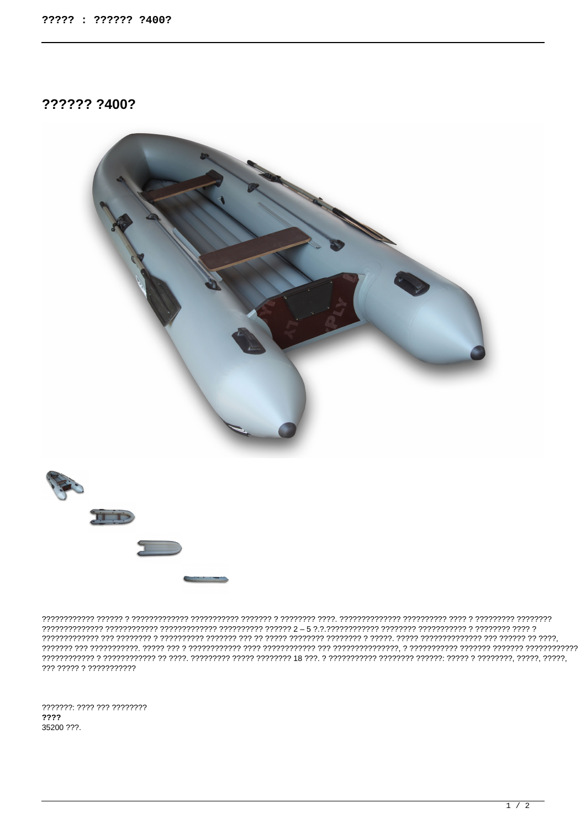?????? ?400?



, הירודור ורורורו וירודו וירודו וירודו וירודו וירודו וירוד וירודו וירודו וירודו וירודורו וירודו וירודו וירודו וירודווירודי ??? ????? ? ???????????

???????: ???? ??? ???????? ???? 35200 ???.